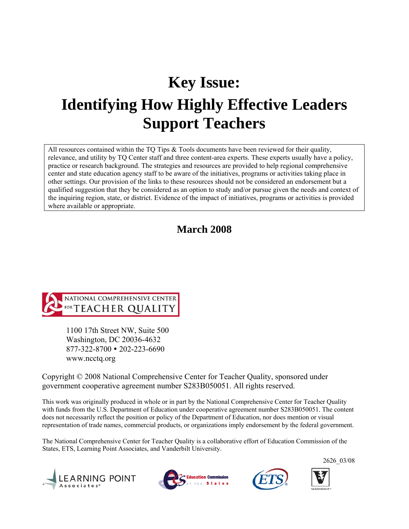# **Key Issue: Identifying How Highly Effective Leaders Support Teachers**

All resources contained within the TQ Tips  $\&$  Tools documents have been reviewed for their quality, relevance, and utility by TQ Center staff and three content-area experts. These experts usually have a policy, practice or research background. The strategies and resources are provided to help regional comprehensive center and state education agency staff to be aware of the initiatives, programs or activities taking place in other settings. Our provision of the links to these resources should not be considered an endorsement but a qualified suggestion that they be considered as an option to study and/or pursue given the needs and context of the inquiring region, state, or district. Evidence of the impact of initiatives, programs or activities is provided where available or appropriate.

# **March 2008**



1100 17th Street NW, Suite 500 Washington, DC 20036-4632 877-322-8700 • 202-223-6690 www.ncctq.org

Copyright © 2008 National Comprehensive Center for Teacher Quality, sponsored under government cooperative agreement number S283B050051. All rights reserved.

This work was originally produced in whole or in part by the National Comprehensive Center for Teacher Quality with funds from the U.S. Department of Education under cooperative agreement number S283B050051. The content does not necessarily reflect the position or policy of the Department of Education, nor does mention or visual representation of trade names, commercial products, or organizations imply endorsement by the federal government.

The National Comprehensive Center for Teacher Quality is a collaborative effort of Education Commission of the States, ETS, Learning Point Associates, and Vanderbilt University.









2626\_03/08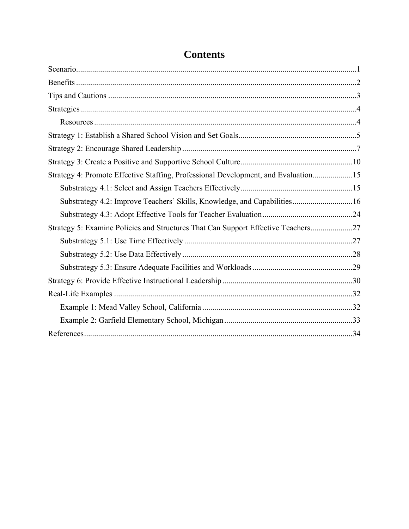| Strategy 4: Promote Effective Staffing, Professional Development, and Evaluation15 |  |
|------------------------------------------------------------------------------------|--|
|                                                                                    |  |
| Substrategy 4.2: Improve Teachers' Skills, Knowledge, and Capabilities16           |  |
|                                                                                    |  |
| Strategy 5: Examine Policies and Structures That Can Support Effective Teachers27  |  |
|                                                                                    |  |
|                                                                                    |  |
|                                                                                    |  |
|                                                                                    |  |
|                                                                                    |  |
|                                                                                    |  |
|                                                                                    |  |
|                                                                                    |  |

# **Contents**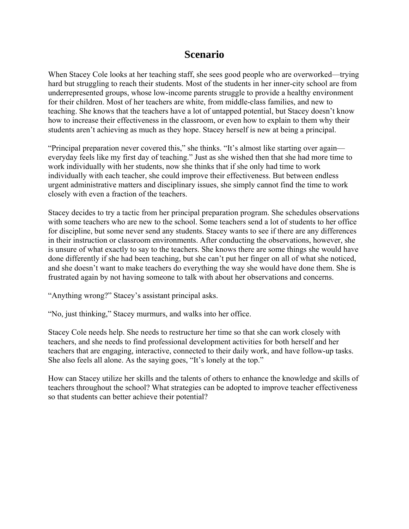# **Scenario**

When Stacey Cole looks at her teaching staff, she sees good people who are overworked—trying hard but struggling to reach their students. Most of the students in her inner-city school are from underrepresented groups, whose low-income parents struggle to provide a healthy environment for their children. Most of her teachers are white, from middle-class families, and new to teaching. She knows that the teachers have a lot of untapped potential, but Stacey doesn't know how to increase their effectiveness in the classroom, or even how to explain to them why their students aren't achieving as much as they hope. Stacey herself is new at being a principal.

"Principal preparation never covered this," she thinks. "It's almost like starting over again everyday feels like my first day of teaching." Just as she wished then that she had more time to work individually with her students, now she thinks that if she only had time to work individually with each teacher, she could improve their effectiveness. But between endless urgent administrative matters and disciplinary issues, she simply cannot find the time to work closely with even a fraction of the teachers.

Stacey decides to try a tactic from her principal preparation program. She schedules observations with some teachers who are new to the school. Some teachers send a lot of students to her office for discipline, but some never send any students. Stacey wants to see if there are any differences in their instruction or classroom environments. After conducting the observations, however, she is unsure of what exactly to say to the teachers. She knows there are some things she would have done differently if she had been teaching, but she can't put her finger on all of what she noticed, and she doesn't want to make teachers do everything the way she would have done them. She is frustrated again by not having someone to talk with about her observations and concerns.

"Anything wrong?" Stacey's assistant principal asks.

"No, just thinking," Stacey murmurs, and walks into her office.

Stacey Cole needs help. She needs to restructure her time so that she can work closely with teachers, and she needs to find professional development activities for both herself and her teachers that are engaging, interactive, connected to their daily work, and have follow-up tasks. She also feels all alone. As the saying goes, "It's lonely at the top."

How can Stacey utilize her skills and the talents of others to enhance the knowledge and skills of teachers throughout the school? What strategies can be adopted to improve teacher effectiveness so that students can better achieve their potential?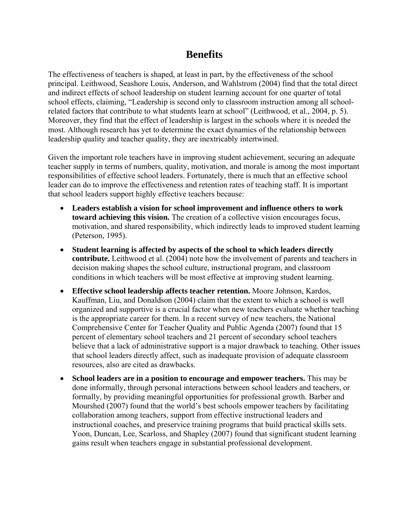# **Benefits**

The effectiveness of teachers is shaped, at least in part, by the effectiveness of the school principal. Leithwood, Seashore Louis, Anderson, and Wahlstrom (2004) find that the total direct and indirect effects of school leadership on student learning account for one quarter of total school effects, claiming, "Leadership is second only to classroom instruction among all schoolrelated factors that contribute to what students learn at school" (Leithwood, et al., 2004, p. 5). Moreover, they find that the effect of leadership is largest in the schools where it is needed the most. Although research has yet to determine the exact dynamics of the relationship between leadership quality and teacher quality, they are inextricably intertwined.

Given the important role teachers have in improving student achievement, securing an adequate teacher supply in terms of numbers, quality, motivation, and morale is among the most important responsibilities of effective school leaders. Fortunately, there is much that an effective school leader can do to improve the effectiveness and retention rates of teaching staff. It is important that school leaders support highly effective teachers because:

- **Leaders establish a vision for school improvement and influence others to work toward achieving this vision.** The creation of a collective vision encourages focus, motivation, and shared responsibility, which indirectly leads to improved student learning (Peterson, 1995).
- **Student learning is affected by aspects of the school to which leaders directly contribute.** Leithwood et al. (2004) note how the involvement of parents and teachers in decision making shapes the school culture, instructional program, and classroom conditions in which teachers will be most effective at improving student learning.
- **Effective school leadership affects teacher retention.** Moore Johnson, Kardos, Kauffman, Liu, and Donaldson (2004) claim that the extent to which a school is well organized and supportive is a crucial factor when new teachers evaluate whether teaching is the appropriate career for them. In a recent survey of new teachers, the National Comprehensive Center for Teacher Quality and Public Agenda (2007) found that 15 percent of elementary school teachers and 21 percent of secondary school teachers believe that a lack of administrative support is a major drawback to teaching. Other issues that school leaders directly affect, such as inadequate provision of adequate classroom resources, also are cited as drawbacks.
- **School leaders are in a position to encourage and empower teachers.** This may be done informally, through personal interactions between school leaders and teachers, or formally, by providing meaningful opportunities for professional growth. Barber and Mourshed (2007) found that the world's best schools empower teachers by facilitating collaboration among teachers, support from effective instructional leaders and instructional coaches, and preservice training programs that build practical skills sets. Yoon, Duncan, Lee, Scarloss, and Shapley (2007) found that significant student learning gains result when teachers engage in substantial professional development.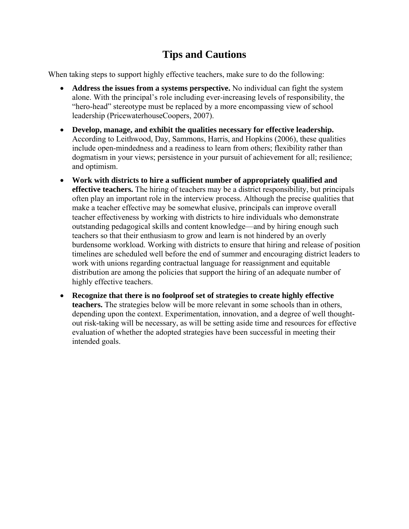# **Tips and Cautions**

When taking steps to support highly effective teachers, make sure to do the following:

- **Address the issues from a systems perspective.** No individual can fight the system alone. With the principal's role including ever-increasing levels of responsibility, the "hero-head" stereotype must be replaced by a more encompassing view of school leadership (PricewaterhouseCoopers, 2007).
- **Develop, manage, and exhibit the qualities necessary for effective leadership.** According to Leithwood, Day, Sammons, Harris, and Hopkins (2006), these qualities include open-mindedness and a readiness to learn from others; flexibility rather than dogmatism in your views; persistence in your pursuit of achievement for all; resilience; and optimism.
- **Work with districts to hire a sufficient number of appropriately qualified and effective teachers.** The hiring of teachers may be a district responsibility, but principals often play an important role in the interview process. Although the precise qualities that make a teacher effective may be somewhat elusive, principals can improve overall teacher effectiveness by working with districts to hire individuals who demonstrate outstanding pedagogical skills and content knowledge—and by hiring enough such teachers so that their enthusiasm to grow and learn is not hindered by an overly burdensome workload. Working with districts to ensure that hiring and release of position timelines are scheduled well before the end of summer and encouraging district leaders to work with unions regarding contractual language for reassignment and equitable distribution are among the policies that support the hiring of an adequate number of highly effective teachers.
- **Recognize that there is no foolproof set of strategies to create highly effective teachers.** The strategies below will be more relevant in some schools than in others, depending upon the context. Experimentation, innovation, and a degree of well thoughtout risk-taking will be necessary, as will be setting aside time and resources for effective evaluation of whether the adopted strategies have been successful in meeting their intended goals.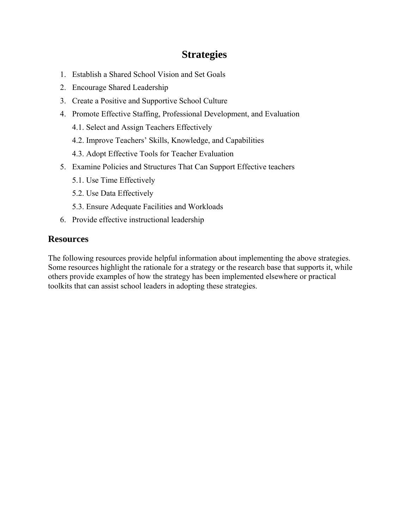# **Strategies**

- 1. Establish a Shared School Vision and Set Goals
- 2. Encourage Shared Leadership
- 3. Create a Positive and Supportive School Culture
- 4. Promote Effective Staffing, Professional Development, and Evaluation
	- 4.1. Select and Assign Teachers Effectively
	- 4.2. Improve Teachers' Skills, Knowledge, and Capabilities
	- 4.3. Adopt Effective Tools for Teacher Evaluation
- 5. Examine Policies and Structures That Can Support Effective teachers
	- 5.1. Use Time Effectively
	- 5.2. Use Data Effectively
	- 5.3. Ensure Adequate Facilities and Workloads
- 6. Provide effective instructional leadership

### **Resources**

The following resources provide helpful information about implementing the above strategies. Some resources highlight the rationale for a strategy or the research base that supports it, while others provide examples of how the strategy has been implemented elsewhere or practical toolkits that can assist school leaders in adopting these strategies.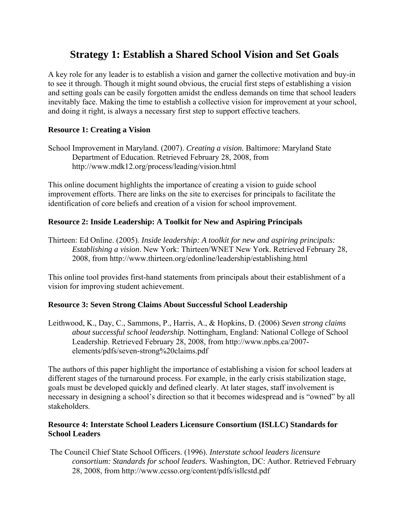# **Strategy 1: Establish a Shared School Vision and Set Goals**

A key role for any leader is to establish a vision and garner the collective motivation and buy-in to see it through. Though it might sound obvious, the crucial first steps of establishing a vision and setting goals can be easily forgotten amidst the endless demands on time that school leaders inevitably face. Making the time to establish a collective vision for improvement at your school, and doing it right, is always a necessary first step to support effective teachers.

#### **Resource 1: Creating a Vision**

School Improvement in Maryland. (2007). *Creating a vision.* Baltimore: Maryland State Department of Education. Retrieved February 28, 2008, from <http://www.mdk12.org/process/leading/vision.html>

This online document highlights the importance of creating a vision to guide school improvement efforts. There are links on the site to exercises for principals to facilitate the identification of core beliefs and creation of a vision for school improvement.

#### **Resource 2: Inside Leadership: A Toolkit for New and Aspiring Principals**

Thirteen: Ed Online. (2005). *Inside leadership: A toolkit for new and aspiring principals: Establishing a vision*. New York: Thirteen/WNET New York. Retrieved February 28, 2008, from<http://www.thirteen.org/edonline/leadership/establishing.html>

This online tool provides first-hand statements from principals about their establishment of a vision for improving student achievement.

#### **Resource 3: Seven Strong Claims About Successful School Leadership**

Leithwood, K., Day, C., Sammons, P., Harris, A., & Hopkins, D. (2006) *Seven strong claims about successful school leadership.* Nottingham, England: National College of School Leadership. Retrieved February 28, 2008, from [http://www.npbs.ca/2007](http://www.npbs.ca/2007-elements/pdfs/seven-strong%20claims.pdf) [elements/pdfs/seven-strong%20claims.pdf](http://www.npbs.ca/2007-elements/pdfs/seven-strong%20claims.pdf) 

The authors of this paper highlight the importance of establishing a vision for school leaders at different stages of the turnaround process. For example, in the early crisis stabilization stage, goals must be developed quickly and defined clearly. At later stages, staff involvement is necessary in designing a school's direction so that it becomes widespread and is "owned" by all stakeholders.

#### **Resource 4: Interstate School Leaders Licensure Consortium (ISLLC) Standards for School Leaders**

 The Council Chief State School Officers. (1996). *Interstate school leaders licensure consortium: Standards for school leaders.* Washington, DC: Author. Retrieved February 28, 2008, from<http://www.ccsso.org/content/pdfs/isllcstd.pdf>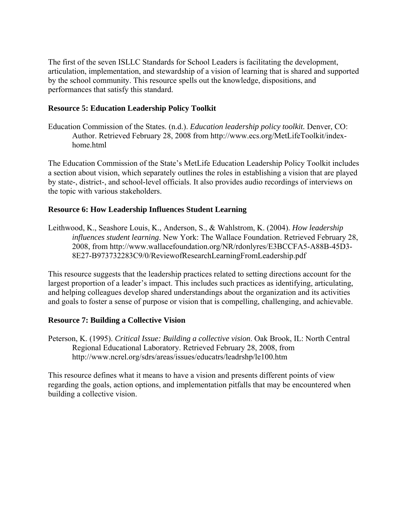The first of the seven ISLLC Standards for School Leaders is facilitating the development, articulation, implementation, and stewardship of a vision of learning that is shared and supported by the school community. This resource spells out the knowledge, dispositions, and performances that satisfy this standard.

#### **Resource 5: Education Leadership Policy Toolkit**

Education Commission of the States. (n.d.). *Education leadership policy toolkit.* Denver, CO: Author. Retrieved February 28, 2008 from [http://www.ecs.org/MetLifeToolkit/index](http://www.ecs.org/MetLifeToolkit/index-home.html)[home.html](http://www.ecs.org/MetLifeToolkit/index-home.html) 

The Education Commission of the State's MetLife Education Leadership Policy Toolkit includes a section about vision, which separately outlines the roles in establishing a vision that are played by state-, district-, and school-level officials. It also provides audio recordings of interviews on the topic with various stakeholders.

#### **Resource 6: How Leadership Influences Student Learning**

Leithwood, K., Seashore Louis, K., Anderson, S., & Wahlstrom, K. (2004). *How leadership influences student learning*. New York: The Wallace Foundation. Retrieved February 28, 2008, from [http://www.wallacefoundation.org/NR/rdonlyres/E3BCCFA5-A88B-45D3-](http://www.wallacefoundation.org/NR/rdonlyres/E3BCCFA5-A88B-45D3-8E27-B973732283C9/0/ReviewofResearchLearningFromLeadership.pdf) [8E27-B973732283C9/0/ReviewofResearchLearningFromLeadership.pdf](http://www.wallacefoundation.org/NR/rdonlyres/E3BCCFA5-A88B-45D3-8E27-B973732283C9/0/ReviewofResearchLearningFromLeadership.pdf) 

This resource suggests that the leadership practices related to setting directions account for the largest proportion of a leader's impact. This includes such practices as identifying, articulating, and helping colleagues develop shared understandings about the organization and its activities and goals to foster a sense of purpose or vision that is compelling, challenging, and achievable.

#### **Resource 7: Building a Collective Vision**

Peterson, K. (1995). *Critical Issue: Building a collective vision*. Oak Brook, IL: North Central Regional Educational Laboratory. Retrieved February 28, 2008, from <http://www.ncrel.org/sdrs/areas/issues/educatrs/leadrshp/le100.htm>

This resource defines what it means to have a vision and presents different points of view regarding the goals, action options, and implementation pitfalls that may be encountered when building a collective vision.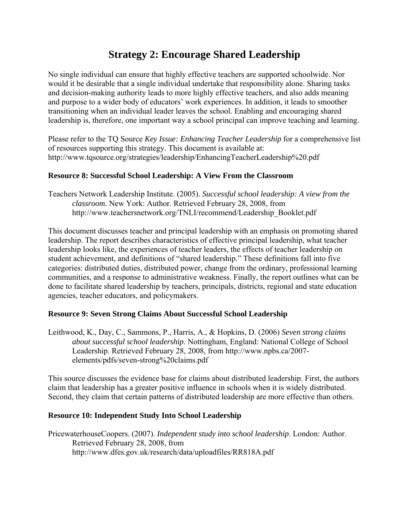# **Strategy 2: Encourage Shared Leadership**

No single individual can ensure that highly effective teachers are supported schoolwide. Nor would it be desirable that a single individual undertake that responsibility alone. Sharing tasks and decision-making authority leads to more highly effective teachers, and also adds meaning and purpose to a wider body of educators' work experiences. In addition, it leads to smoother transitioning when an individual leader leaves the school. Enabling and encouraging shared leadership is, therefore, one important way a school principal can improve teaching and learning.

Please refer to the TQ Source *Key Issue: Enhancing Teacher Leadership* for a comprehensive list of resources supporting this strategy. This document is available at: http://www.tqsource.org/strategies/leadership/EnhancingTeacherLeadership%20.pdf

#### **Resource 8: Successful School Leadership: A View From the Classroom**

Teachers Network Leadership Institute. (2005). *Successful school leadership: A view from the classroom.* New York: Author. Retrieved February 28, 2008, from http://www.teachersnetwork.org/TNLI/recommend/Leadership\_Booklet.pdf

This document discusses teacher and principal leadership with an emphasis on promoting shared leadership. The report describes characteristics of effective principal leadership, what teacher leadership looks like, the experiences of teacher leaders, the effects of teacher leadership on student achievement, and definitions of "shared leadership." These definitions fall into five categories: distributed duties, distributed power, change from the ordinary, professional learning communities, and a response to administrative weakness. Finally, the report outlines what can be done to facilitate shared leadership by teachers, principals, districts, regional and state education agencies, teacher educators, and policymakers.

#### **Resource 9: Seven Strong Claims About Successful School Leadership**

Leithwood, K., Day, C., Sammons, P., Harris, A., & Hopkins, D. (2006) *Seven strong claims about successful school leadership.* Nottingham, England: National College of School Leadership. Retrieved February 28, 2008, from http://www.npbs.ca/2007 elements/pdfs/seven-strong%20claims.pdf

This source discusses the evidence base for claims about distributed leadership. First, the authors claim that leadership has a greater positive influence in schools when it is widely distributed. Second, they claim that certain patterns of distributed leadership are more effective than others.

#### **Resource 10: Independent Study Into School Leadership**

PricewaterhouseCoopers. (2007). *Independent study into school leadership*. London: Author. Retrieved February 28, 2008, from <http://www.dfes.gov.uk/research/data/uploadfiles/RR818A.pdf>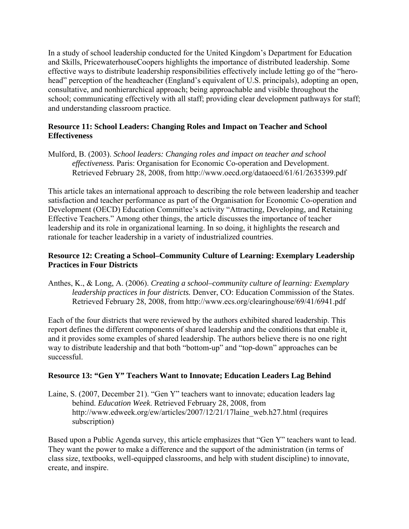In a study of school leadership conducted for the United Kingdom's Department for Education and Skills, PricewaterhouseCoopers highlights the importance of distributed leadership. Some effective ways to distribute leadership responsibilities effectively include letting go of the "herohead" perception of the headteacher (England's equivalent of U.S. principals), adopting an open, consultative, and nonhierarchical approach; being approachable and visible throughout the school; communicating effectively with all staff; providing clear development pathways for staff; and understanding classroom practice.

#### **Resource 11: School Leaders: Changing Roles and Impact on Teacher and School Effectiveness**

Mulford, B. (2003). *School leaders: Changing roles and impact on teacher and school effectiveness.* Paris: Organisation for Economic Co-operation and Development. Retrieved February 28, 2008, from<http://www.oecd.org/dataoecd/61/61/2635399.pdf>

This article takes an international approach to describing the role between leadership and teacher satisfaction and teacher performance as part of the Organisation for Economic Co-operation and Development (OECD) Education Committee's activity "Attracting, Developing, and Retaining Effective Teachers." Among other things, the article discusses the importance of teacher leadership and its role in organizational learning. In so doing, it highlights the research and rationale for teacher leadership in a variety of industrialized countries.

#### **Resource 12: Creating a School–Community Culture of Learning: Exemplary Leadership Practices in Four Districts**

Anthes, K., & Long, A. (2006). *Creating a school–community culture of learning: Exemplary leadership practices in four districts.* Denver, CO: Education Commission of the States. Retrieved February 28, 2008, from http://www.ecs.org/clearinghouse/69/41/6941.pdf

Each of the four districts that were reviewed by the authors exhibited shared leadership. This report defines the different components of shared leadership and the conditions that enable it, and it provides some examples of shared leadership. The authors believe there is no one right way to distribute leadership and that both "bottom-up" and "top-down" approaches can be successful.

#### **Resource 13: "Gen Y" Teachers Want to Innovate; Education Leaders Lag Behind**

Laine, S. (2007, December 21). "Gen Y" teachers want to innovate; education leaders lag behind. *Education Week*. Retrieved February 28, 2008, from http://www.edweek.org/ew/articles/2007/12/21/17laine\_web.h27.html (requires subscription)

Based upon a Public Agenda survey, this article emphasizes that "Gen Y" teachers want to lead. They want the power to make a difference and the support of the administration (in terms of class size, textbooks, well-equipped classrooms, and help with student discipline) to innovate, create, and inspire.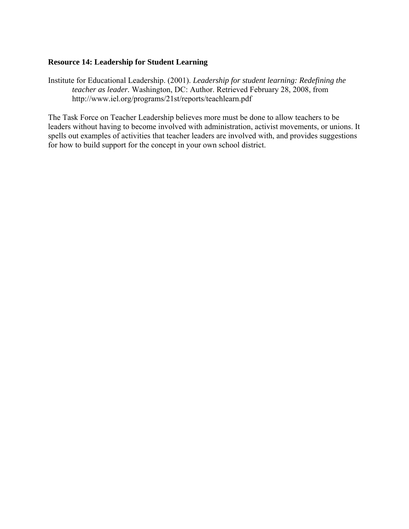#### **Resource 14: Leadership for Student Learning**

Institute for Educational Leadership. (2001). *Leadership for student learning: Redefining the teacher as leader.* Washington, DC: Author. Retrieved February 28, 2008, from <http://www.iel.org/programs/21st/reports/teachlearn.pdf>

The Task Force on Teacher Leadership believes more must be done to allow teachers to be leaders without having to become involved with administration, activist movements, or unions. It spells out examples of activities that teacher leaders are involved with, and provides suggestions for how to build support for the concept in your own school district.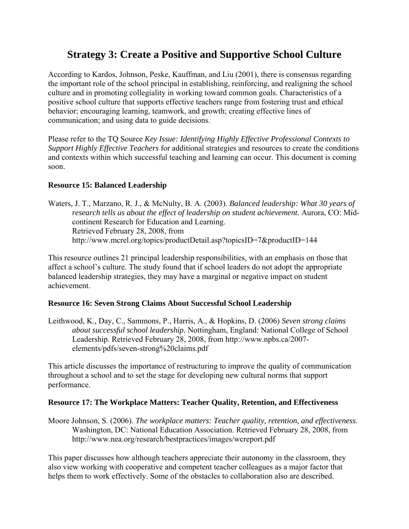# **Strategy 3: Create a Positive and Supportive School Culture**

According to Kardos, Johnson, Peske, Kauffman, and Liu (2001), there is consensus regarding the important role of the school principal in establishing, reinforcing, and realigning the school culture and in promoting collegiality in working toward common goals. Characteristics of a positive school culture that supports effective teachers range from fostering trust and ethical behavior; encouraging learning, teamwork, and growth; creating effective lines of communication; and using data to guide decisions.

Please refer to the TQ Source *Key Issue: Identifying Highly Effective Professional Contexts to Support Highly Effective Teachers* for additional strategies and resources to create the conditions and contexts within which successful teaching and learning can occur. This document is coming soon.

#### **Resource 15: Balanced Leadership**

Waters, J. T., Marzano, R. J., & McNulty, B. A. (2003). *Balanced leadership: What 30 years of research tells us about the effect of leadership on student achievement.* Aurora, CO: Midcontinent Research for Education and Learning. Retrieved February 28, 2008, from <http://www.mcrel.org/topics/productDetail.asp?topicsID=7&productID=144>

This resource outlines 21 principal leadership responsibilities, with an emphasis on those that affect a school's culture. The study found that if school leaders do not adopt the appropriate balanced leadership strategies, they may have a marginal or negative impact on student achievement.

#### **Resource 16: Seven Strong Claims About Successful School Leadership**

Leithwood, K., Day, C., Sammons, P., Harris, A., & Hopkins, D. (2006) *Seven strong claims about successful school leadership.* Nottingham, England: National College of School Leadership. Retrieved February 28, 2008, from [http://www.npbs.ca/2007](http://www.npbs.ca/2007-elements/pdfs/seven-strong%20claims.pdf) [elements/pdfs/seven-strong%20claims.pdf](http://www.npbs.ca/2007-elements/pdfs/seven-strong%20claims.pdf) 

This article discusses the importance of restructuring to improve the quality of communication throughout a school and to set the stage for developing new cultural norms that support performance.

#### **Resource 17: The Workplace Matters: Teacher Quality, Retention, and Effectiveness**

Moore Johnson, S. (2006). *The workplace matters: Teacher quality, retention, and effectiveness*. Washington, DC: National Education Association. Retrieved February 28, 2008, from <http://www.nea.org/research/bestpractices/images/wcreport.pdf>

This paper discusses how although teachers appreciate their autonomy in the classroom, they also view working with cooperative and competent teacher colleagues as a major factor that helps them to work effectively. Some of the obstacles to collaboration also are described.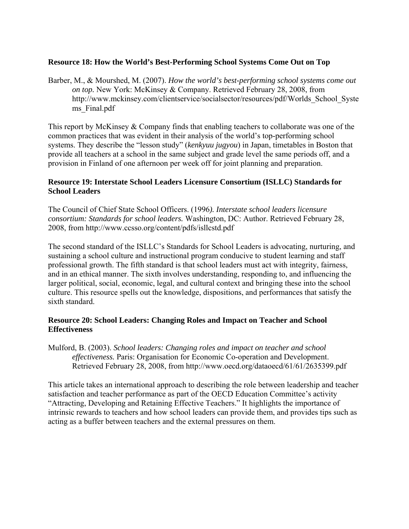#### **Resource 18: How the World's Best-Performing School Systems Come Out on Top**

Barber, M., & Mourshed, M. (2007). *How the world's best-performing school systems come out on top.* New York: McKinsey & Company. Retrieved February 28, 2008, from [http://www.mckinsey.com/clientservice/socialsector/resources/pdf/Worlds\\_School\\_Syste](http://www.mckinsey.com/clientservice/socialsector/resources/pdf/Worlds_School_Systems_Final.pdf) [ms\\_Final.pdf](http://www.mckinsey.com/clientservice/socialsector/resources/pdf/Worlds_School_Systems_Final.pdf) 

This report by McKinsey & Company finds that enabling teachers to collaborate was one of the common practices that was evident in their analysis of the world's top-performing school systems. They describe the "lesson study" (*kenkyuu jugyou*) in Japan, timetables in Boston that provide all teachers at a school in the same subject and grade level the same periods off, and a provision in Finland of one afternoon per week off for joint planning and preparation.

#### **Resource 19: Interstate School Leaders Licensure Consortium (ISLLC) Standards for School Leaders**

The Council of Chief State School Officers. (1996*). Interstate school leaders licensure consortium: Standards for school leaders.* Washington, DC: Author. Retrieved February 28, 2008, from<http://www.ccsso.org/content/pdfs/isllcstd.pdf>

The second standard of the ISLLC's Standards for School Leaders is advocating, nurturing, and sustaining a school culture and instructional program conducive to student learning and staff professional growth. The fifth standard is that school leaders must act with integrity, fairness, and in an ethical manner. The sixth involves understanding, responding to, and influencing the larger political, social, economic, legal, and cultural context and bringing these into the school culture. This resource spells out the knowledge, dispositions, and performances that satisfy the sixth standard.

#### **Resource 20: School Leaders: Changing Roles and Impact on Teacher and School Effectiveness**

Mulford, B. (2003). *School leaders: Changing roles and impact on teacher and school effectiveness.* Paris: Organisation for Economic Co-operation and Development. Retrieved February 28, 2008, from http://www.oecd.org/dataoecd/61/61/2635399.pdf

This article takes an international approach to describing the role between leadership and teacher satisfaction and teacher performance as part of the OECD Education Committee's activity "Attracting, Developing and Retaining Effective Teachers." It highlights the importance of intrinsic rewards to teachers and how school leaders can provide them, and provides tips such as acting as a buffer between teachers and the external pressures on them.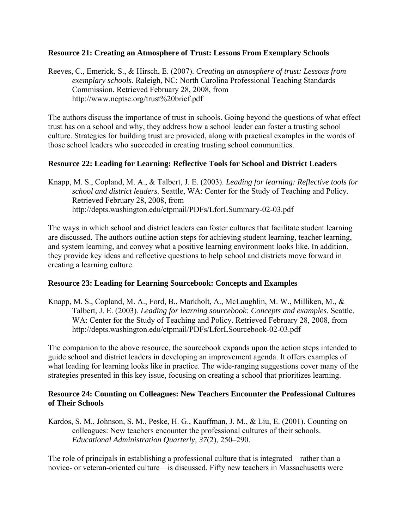#### **Resource 21: Creating an Atmosphere of Trust: Lessons From Exemplary Schools**

Reeves, C., Emerick, S., & Hirsch, E. (2007). *Creating an atmosphere of trust: Lessons from exemplary schools.* Raleigh, NC: North Carolina Professional Teaching Standards Commission. Retrieved February 28, 2008, from http://www.ncptsc.org/trust%20brief.pdf

The authors discuss the importance of trust in schools. Going beyond the questions of what effect trust has on a school and why, they address how a school leader can foster a trusting school culture. Strategies for building trust are provided, along with practical examples in the words of those school leaders who succeeded in creating trusting school communities.

#### **Resource 22: Leading for Learning: Reflective Tools for School and District Leaders**

Knapp, M. S., Copland, M. A., & Talbert, J. E. (2003). *Leading for learning: Reflective tools for school and district leaders.* Seattle, WA: Center for the Study of Teaching and Policy. Retrieved February 28, 2008, from <http://depts.washington.edu/ctpmail/PDFs/LforLSummary-02-03.pdf>

The ways in which school and district leaders can foster cultures that facilitate student learning are discussed. The authors outline action steps for achieving student learning, teacher learning, and system learning, and convey what a positive learning environment looks like. In addition, they provide key ideas and reflective questions to help school and districts move forward in creating a learning culture.

#### **Resource 23: Leading for Learning Sourcebook: Concepts and Examples**

Knapp, M. S., Copland, M. A., Ford, B., Markholt, A., McLaughlin, M. W., Milliken, M., & Talbert, J. E. (2003). *Leading for learning sourcebook: Concepts and examples.* Seattle, WA: Center for the Study of Teaching and Policy. Retrieved February 28, 2008, from http://depts.washington.edu/ctpmail/PDFs/LforLSourcebook-02-03.pdf

The companion to the above resource, the sourcebook expands upon the action steps intended to guide school and district leaders in developing an improvement agenda. It offers examples of what leading for learning looks like in practice. The wide-ranging suggestions cover many of the strategies presented in this key issue, focusing on creating a school that prioritizes learning.

#### **Resource 24: Counting on Colleagues: New Teachers Encounter the Professional Cultures of Their Schools**

Kardos, S. M., Johnson, S. M., Peske, H. G., Kauffman, J. M., & Liu, E. (2001). Counting on colleagues: New teachers encounter the professional cultures of their schools. *Educational Administration Quarterly, 37*(2), 250–290.

The role of principals in establishing a professional culture that is integrated—rather than a novice- or veteran-oriented culture—is discussed. Fifty new teachers in Massachusetts were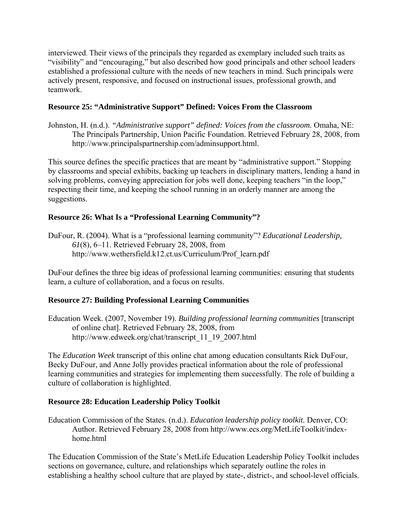interviewed. Their views of the principals they regarded as exemplary included such traits as "visibility" and "encouraging," but also described how good principals and other school leaders established a professional culture with the needs of new teachers in mind. Such principals were actively present, responsive, and focused on instructional issues, professional growth, and teamwork.

#### **Resource 25: "Administrative Support" Defined: Voices From the Classroom**

Johnston, H. (n.d.). *"Administrative support" defined: Voices from the classroom.* Omaha, NE: The Principals Partnership, Union Pacific Foundation. Retrieved February 28, 2008, from [http://www.principalspartnership.com/adminsupport.html.](http://www.principalspartnership.com/adminsupport.html)

This source defines the specific practices that are meant by "administrative support." Stopping by classrooms and special exhibits, backing up teachers in disciplinary matters, lending a hand in solving problems, conveying appreciation for jobs well done, keeping teachers "in the loop," respecting their time, and keeping the school running in an orderly manner are among the suggestions.

### **Resource 26: What Is a "Professional Learning Community"?**

DuFour, R. (2004). What is a "professional learning community"? *Educational Leadership, 61*(8), 6–11. Retrieved February 28, 2008, from http://www.wethersfield.k12.ct.us/Curriculum/Prof\_learn.pdf

DuFour defines the three big ideas of professional learning communities: ensuring that students learn, a culture of collaboration, and a focus on results.

### **Resource 27: Building Professional Learning Communities**

Education Week. (2007, November 19). *Building professional learning communities* [transcript of online chat]. Retrieved February 28, 2008, from [http://www.edweek.org/chat/transcript\\_11\\_19\\_2007.html](http://www.edweek.org/chat/transcript_11_19_2007.html) 

The *Education Week* transcript of this online chat among education consultants Rick DuFour, Becky DuFour, and Anne Jolly provides practical information about the role of professional learning communities and strategies for implementing them successfully. The role of building a culture of collaboration is highlighted.

### **Resource 28: Education Leadership Policy Toolkit**

Education Commission of the States. (n.d.). *Education leadership policy toolkit.* Denver, CO: Author. Retrieved February 28, 2008 from [http://www.ecs.org/MetLifeToolkit/index](http://www.ecs.org/MetLifeToolkit/index-home.html)[home.html](http://www.ecs.org/MetLifeToolkit/index-home.html) 

The Education Commission of the State's MetLife Education Leadership Policy Toolkit includes sections on governance, culture, and relationships which separately outline the roles in establishing a healthy school culture that are played by state-, district-, and school-level officials.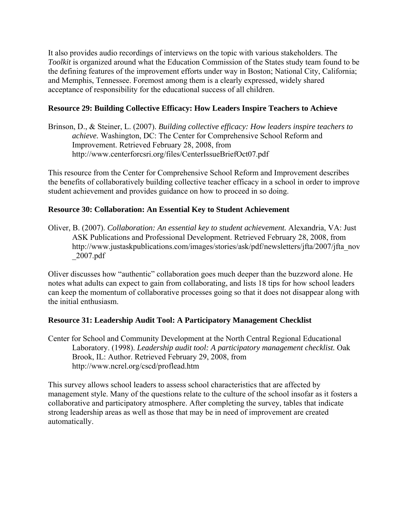It also provides audio recordings of interviews on the topic with various stakeholders. The *Toolkit* is organized around what the Education Commission of the States study team found to be the defining features of the improvement efforts under way in Boston; National City, California; and Memphis, Tennessee. Foremost among them is a clearly expressed, widely shared acceptance of responsibility for the educational success of all children.

#### **Resource 29: Building Collective Efficacy: How Leaders Inspire Teachers to Achieve**

Brinson, D., & Steiner, L. (2007). *Building collective efficacy: How leaders inspire teachers to achieve.* Washington, DC: The Center for Comprehensive School Reform and Improvement. Retrieved February 28, 2008, from <http://www.centerforcsri.org/files/CenterIssueBriefOct07.pdf>

This resource from the Center for Comprehensive School Reform and Improvement describes the benefits of collaboratively building collective teacher efficacy in a school in order to improve student achievement and provides guidance on how to proceed in so doing.

#### **Resource 30: Collaboration: An Essential Key to Student Achievement**

Oliver, B. (2007). *Collaboration: An essential key to student achievement.* Alexandria, VA: Just ASK Publications and Professional Development. Retrieved February 28, 2008, from http://www.justaskpublications.com/images/stories/ask/pdf/newsletters/jfta/2007/jfta\_nov \_2007.pdf

Oliver discusses how "authentic" collaboration goes much deeper than the buzzword alone. He notes what adults can expect to gain from collaborating, and lists 18 tips for how school leaders can keep the momentum of collaborative processes going so that it does not disappear along with the initial enthusiasm.

### **Resource 31: Leadership Audit Tool: A Participatory Management Checklist**

Center for School and Community Development at the North Central Regional Educational Laboratory. (1998). *Leadership audit tool: A participatory management checklist*. Oak Brook, IL: Author. Retrieved February 29, 2008, from <http://www.ncrel.org/cscd/proflead.htm>

This survey allows school leaders to assess school characteristics that are affected by management style. Many of the questions relate to the culture of the school insofar as it fosters a collaborative and participatory atmosphere. After completing the survey, tables that indicate strong leadership areas as well as those that may be in need of improvement are created automatically.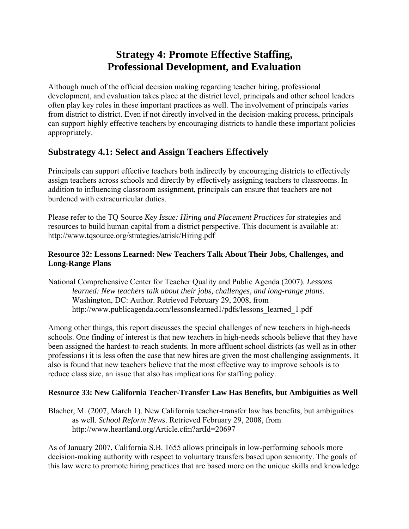# **Strategy 4: Promote Effective Staffing, Professional Development, and Evaluation**

Although much of the official decision making regarding teacher hiring, professional development, and evaluation takes place at the district level, principals and other school leaders often play key roles in these important practices as well. The involvement of principals varies from district to district. Even if not directly involved in the decision-making process, principals can support highly effective teachers by encouraging districts to handle these important policies appropriately.

### **Substrategy 4.1: Select and Assign Teachers Effectively**

Principals can support effective teachers both indirectly by encouraging districts to effectively assign teachers across schools and directly by effectively assigning teachers to classrooms. In addition to influencing classroom assignment, principals can ensure that teachers are not burdened with extracurricular duties.

Please refer to the TQ Source *Key Issue: Hiring and Placement Practices* for strategies and resources to build human capital from a district perspective. This document is available at: http://www.tqsource.org/strategies/atrisk/Hiring.pdf

#### **Resource 32: Lessons Learned: New Teachers Talk About Their Jobs, Challenges, and Long-Range Plans**

National Comprehensive Center for Teacher Quality and Public Agenda (2007). *Lessons learned: New teachers talk about their jobs, challenges, and long-range plans.* Washington, DC: Author. Retrieved February 29, 2008, from [http://www.publicagenda.com/lessonslearned1/pdfs/lessons\\_learned\\_1.pdf](http://www.publicagenda.com/lessonslearned1/pdfs/lessons_learned_1.pdf) 

Among other things, this report discusses the special challenges of new teachers in high-needs schools. One finding of interest is that new teachers in high-needs schools believe that they have been assigned the hardest-to-reach students. In more affluent school districts (as well as in other professions) it is less often the case that new hires are given the most challenging assignments. It also is found that new teachers believe that the most effective way to improve schools is to reduce class size, an issue that also has implications for staffing policy.

### **Resource 33: New California Teacher-Transfer Law Has Benefits, but Ambiguities as Well**

Blacher, M. (2007, March 1). New California teacher-transfer law has benefits, but ambiguities as well. *School Reform News*. Retrieved February 29, 2008, from <http://www.heartland.org/Article.cfm?artId=20697>

As of January 2007, California S.B. 1655 allows principals in low-performing schools more decision-making authority with respect to voluntary transfers based upon seniority. The goals of this law were to promote hiring practices that are based more on the unique skills and knowledge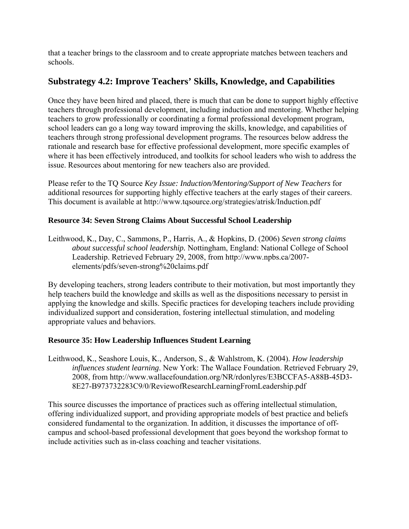that a teacher brings to the classroom and to create appropriate matches between teachers and schools.

## **Substrategy 4.2: Improve Teachers' Skills, Knowledge, and Capabilities**

Once they have been hired and placed, there is much that can be done to support highly effective teachers through professional development, including induction and mentoring. Whether helping teachers to grow professionally or coordinating a formal professional development program, school leaders can go a long way toward improving the skills, knowledge, and capabilities of teachers through strong professional development programs. The resources below address the rationale and research base for effective professional development, more specific examples of where it has been effectively introduced, and toolkits for school leaders who wish to address the issue. Resources about mentoring for new teachers also are provided.

Please refer to the TQ Source *Key Issue: Induction/Mentoring/Support of New Teachers* for additional resources for supporting highly effective teachers at the early stages of their careers. This document is available at http://www.tqsource.org/strategies/atrisk/Induction.pdf

#### **Resource 34: Seven Strong Claims About Successful School Leadership**

Leithwood, K., Day, C., Sammons, P., Harris, A., & Hopkins, D. (2006) *Seven strong claims about successful school leadership.* Nottingham, England: National College of School Leadership. Retrieved February 29, 2008, from [http://www.npbs.ca/2007](http://www.npbs.ca/2007-elements/pdfs/seven-strong%20claims.pdf) [elements/pdfs/seven-strong%20claims.pdf](http://www.npbs.ca/2007-elements/pdfs/seven-strong%20claims.pdf) 

By developing teachers, strong leaders contribute to their motivation, but most importantly they help teachers build the knowledge and skills as well as the dispositions necessary to persist in applying the knowledge and skills. Specific practices for developing teachers include providing individualized support and consideration, fostering intellectual stimulation, and modeling appropriate values and behaviors.

#### **Resource 35: How Leadership Influences Student Learning**

Leithwood, K., Seashore Louis, K., Anderson, S., & Wahlstrom, K. (2004). *How leadership influences student learning*. New York: The Wallace Foundation. Retrieved February 29, 2008, from [http://www.wallacefoundation.org/NR/rdonlyres/E3BCCFA5-A88B-45D3-](http://www.wallacefoundation.org/NR/rdonlyres/E3BCCFA5-A88B-45D3-8E27-B973732283C9/0/ReviewofResearchLearningFromLeadership.pdf) [8E27-B973732283C9/0/ReviewofResearchLearningFromLeadership.pdf](http://www.wallacefoundation.org/NR/rdonlyres/E3BCCFA5-A88B-45D3-8E27-B973732283C9/0/ReviewofResearchLearningFromLeadership.pdf) 

This source discusses the importance of practices such as offering intellectual stimulation, offering individualized support, and providing appropriate models of best practice and beliefs considered fundamental to the organization. In addition, it discusses the importance of offcampus and school-based professional development that goes beyond the workshop format to include activities such as in-class coaching and teacher visitations.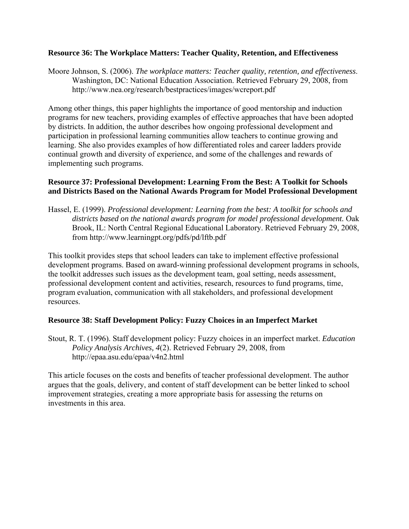#### **Resource 36: The Workplace Matters: Teacher Quality, Retention, and Effectiveness**

Moore Johnson, S. (2006). *The workplace matters: Teacher quality, retention, and effectiveness*. Washington, DC: National Education Association. Retrieved February 29, 2008, from <http://www.nea.org/research/bestpractices/images/wcreport.pdf>

Among other things, this paper highlights the importance of good mentorship and induction programs for new teachers, providing examples of effective approaches that have been adopted by districts. In addition, the author describes how ongoing professional development and participation in professional learning communities allow teachers to continue growing and learning. She also provides examples of how differentiated roles and career ladders provide continual growth and diversity of experience, and some of the challenges and rewards of implementing such programs.

#### **Resource 37: Professional Development: Learning From the Best: A Toolkit for Schools and Districts Based on the National Awards Program for Model Professional Development**

Hassel, E. (1999). *Professional development: Learning from the best: A toolkit for schools and*  districts based on the national awards program for model professional development. Oak Brook, IL: North Central Regional Educational Laboratory. Retrieved February 29, 2008, from http://www.learningpt.org/pdfs/pd/lftb.pdf

This toolkit provides steps that school leaders can take to implement effective professional development programs. Based on award-winning professional development programs in schools, the toolkit addresses such issues as the development team, goal setting, needs assessment, professional development content and activities, research, resources to fund programs, time, program evaluation, communication with all stakeholders, and professional development resources.

#### **Resource 38: Staff Development Policy: Fuzzy Choices in an Imperfect Market**

Stout, R. T. (1996). Staff development policy: Fuzzy choices in an imperfect market. *Education Policy Analysis Archives, 4*(2). Retrieved February 29, 2008, from http://epaa.asu.edu/epaa/v4n2.html

This article focuses on the costs and benefits of teacher professional development. The author argues that the goals, delivery, and content of staff development can be better linked to school improvement strategies, creating a more appropriate basis for assessing the returns on investments in this area.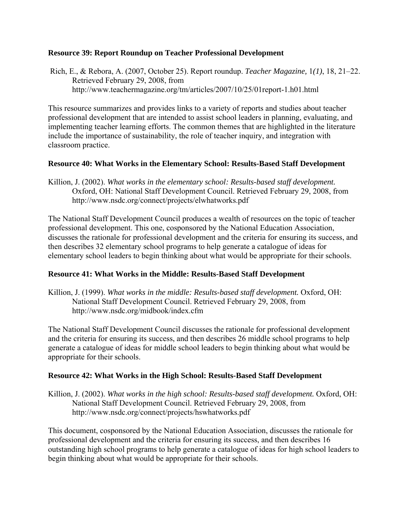#### **Resource 39: Report Roundup on Teacher Professional Development**

 Rich, E., & Rebora, A. (2007, October 25). Report roundup. *Teacher Magazine,* 1*(1)*, 18, 21–22. Retrieved February 29, 2008, from <http://www.teachermagazine.org/tm/articles/2007/10/25/01report-1.h01.html>

This resource summarizes and provides links to a variety of reports and studies about teacher professional development that are intended to assist school leaders in planning, evaluating, and implementing teacher learning efforts. The common themes that are highlighted in the literature include the importance of sustainability, the role of teacher inquiry, and integration with classroom practice.

#### **Resource 40: What Works in the Elementary School: Results-Based Staff Development**

Killion, J. (2002). *What works in the elementary school: Results-based staff development.* Oxford, OH: National Staff Development Council. Retrieved February 29, 2008, from http://www.nsdc.org/connect/projects/elwhatworks.pdf

The National Staff Development Council produces a wealth of resources on the topic of teacher professional development. This one, cosponsored by the National Education Association, discusses the rationale for professional development and the criteria for ensuring its success, and then describes 32 elementary school programs to help generate a catalogue of ideas for elementary school leaders to begin thinking about what would be appropriate for their schools.

#### **Resource 41: What Works in the Middle: Results-Based Staff Development**

Killion, J. (1999). *What works in the middle: Results-based staff development.* Oxford, OH: National Staff Development Council. Retrieved February 29, 2008, from http://www.nsdc.org/midbook/index.cfm

The National Staff Development Council discusses the rationale for professional development and the criteria for ensuring its success, and then describes 26 middle school programs to help generate a catalogue of ideas for middle school leaders to begin thinking about what would be appropriate for their schools.

#### **Resource 42: What Works in the High School: Results-Based Staff Development**

Killion, J. (2002). *What works in the high school: Results-based staff development.* Oxford, OH: National Staff Development Council. Retrieved February 29, 2008, from http://www.nsdc.org/connect/projects/hswhatworks.pdf

This document, cosponsored by the National Education Association, discusses the rationale for professional development and the criteria for ensuring its success, and then describes 16 outstanding high school programs to help generate a catalogue of ideas for high school leaders to begin thinking about what would be appropriate for their schools.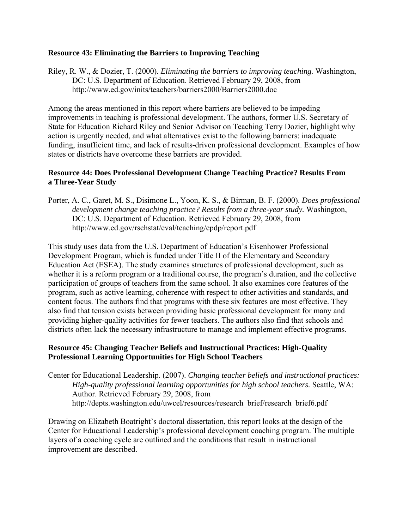#### **Resource 43: Eliminating the Barriers to Improving Teaching**

Riley, R. W., & Dozier, T. (2000). *Eliminating the barriers to improving teaching.* Washington, DC: U.S. Department of Education. Retrieved February 29, 2008, from http://www.ed.gov/inits/teachers/barriers2000/Barriers2000.doc

Among the areas mentioned in this report where barriers are believed to be impeding improvements in teaching is professional development. The authors, former U.S. Secretary of State for Education Richard Riley and Senior Advisor on Teaching Terry Dozier, highlight why action is urgently needed, and what alternatives exist to the following barriers: inadequate funding, insufficient time, and lack of results-driven professional development. Examples of how states or districts have overcome these barriers are provided.

#### **Resource 44: Does Professional Development Change Teaching Practice? Results From a Three-Year Study**

Porter, A. C., Garet, M. S., Disimone L., Yoon, K. S., & Birman, B. F. (2000). *Does professional development change teaching practice? Results from a three-year study.* Washington, DC: U.S. Department of Education. Retrieved February 29, 2008, from <http://www.ed.gov/rschstat/eval/teaching/epdp/report.pdf>

This study uses data from the U.S. Department of Education's Eisenhower Professional Development Program, which is funded under Title II of the Elementary and Secondary Education Act (ESEA). The study examines structures of professional development, such as whether it is a reform program or a traditional course, the program's duration, and the collective participation of groups of teachers from the same school. It also examines core features of the program, such as active learning, coherence with respect to other activities and standards, and content focus. The authors find that programs with these six features are most effective. They also find that tension exists between providing basic professional development for many and providing higher-quality activities for fewer teachers. The authors also find that schools and districts often lack the necessary infrastructure to manage and implement effective programs.

#### **Resource 45: Changing Teacher Beliefs and Instructional Practices: High-Quality Professional Learning Opportunities for High School Teachers**

Center for Educational Leadership. (2007). *Changing teacher beliefs and instructional practices: High-quality professional learning opportunities for high school teachers. Seattle, WA:* Author. Retrieved February 29, 2008, from http://depts.washington.edu/uwcel/resources/research\_brief/research\_brief6.pdf

Drawing on Elizabeth Boatright's doctoral dissertation, this report looks at the design of the Center for Educational Leadership's professional development coaching program. The multiple layers of a coaching cycle are outlined and the conditions that result in instructional improvement are described.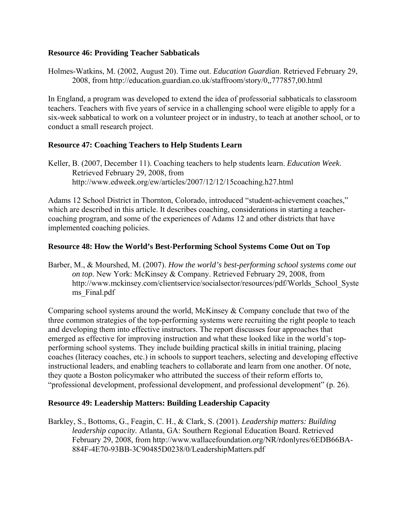#### **Resource 46: Providing Teacher Sabbaticals**

Holmes-Watkins, M. (2002, August 20). Time out. *Education Guardian*. Retrieved February 29, 2008, from<http://education.guardian.co.uk/staffroom/story/0,,777857,00.html>

In England, a program was developed to extend the idea of professorial sabbaticals to classroom teachers. Teachers with five years of service in a challenging school were eligible to apply for a six-week sabbatical to work on a volunteer project or in industry, to teach at another school, or to conduct a small research project.

#### **Resource 47: Coaching Teachers to Help Students Learn**

Keller, B. (2007, December 11). Coaching teachers to help students learn. *Education Week*. Retrieved February 29, 2008, from <http://www.edweek.org/ew/articles/2007/12/12/15coaching.h27.html>

Adams 12 School District in Thornton, Colorado, introduced "student-achievement coaches," which are described in this article. It describes coaching, considerations in starting a teachercoaching program, and some of the experiences of Adams 12 and other districts that have implemented coaching policies.

#### **Resource 48: How the World's Best-Performing School Systems Come Out on Top**

Barber, M., & Mourshed, M. (2007). *How the world's best-performing school systems come out on top.* New York: McKinsey & Company. Retrieved February 29, 2008, from [http://www.mckinsey.com/clientservice/socialsector/resources/pdf/Worlds\\_School\\_Syste](http://www.mckinsey.com/clientservice/socialsector/resources/pdf/Worlds_School_Systems_Final.pdf) [ms\\_Final.pdf](http://www.mckinsey.com/clientservice/socialsector/resources/pdf/Worlds_School_Systems_Final.pdf) 

Comparing school systems around the world, McKinsey & Company conclude that two of the three common strategies of the top-performing systems were recruiting the right people to teach and developing them into effective instructors. The report discusses four approaches that emerged as effective for improving instruction and what these looked like in the world's topperforming school systems. They include building practical skills in initial training, placing coaches (literacy coaches, etc.) in schools to support teachers, selecting and developing effective instructional leaders, and enabling teachers to collaborate and learn from one another. Of note, they quote a Boston policymaker who attributed the success of their reform efforts to, "professional development, professional development, and professional development" (p. 26).

#### **Resource 49: Leadership Matters: Building Leadership Capacity**

Barkley, S., Bottoms, G., Feagin, C. H., & Clark, S. (2001). *Leadership matters: Building leadership capacity.* Atlanta, GA: Southern Regional Education Board. Retrieved February 29, 2008, from http://www.wallacefoundation.org/NR/rdonlyres/6EDB66BA-884F-4E70-93BB-3C90485D0238/0/LeadershipMatters.pdf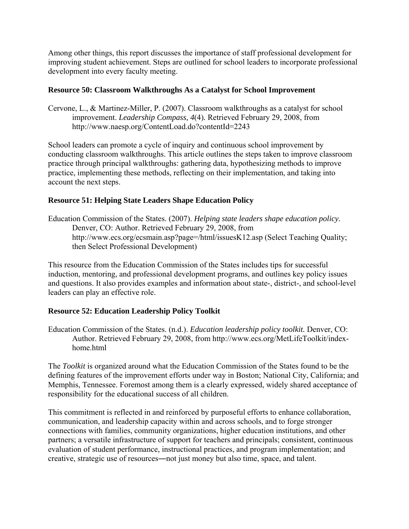Among other things, this report discusses the importance of staff professional development for improving student achievement. Steps are outlined for school leaders to incorporate professional development into every faculty meeting.

#### **Resource 50: Classroom Walkthroughs As a Catalyst for School Improvement**

Cervone, L., & Martinez-Miller, P. (2007). Classroom walkthroughs as a catalyst for school improvement. *Leadership Compass, 4*(4)*.* Retrieved February 29, 2008, from http://www.naesp.org/ContentLoad.do?contentId=2243

School leaders can promote a cycle of inquiry and continuous school improvement by conducting classroom walkthroughs. This article outlines the steps taken to improve classroom practice through principal walkthroughs: gathering data, hypothesizing methods to improve practice, implementing these methods, reflecting on their implementation, and taking into account the next steps.

#### **Resource 51: Helping State Leaders Shape Education Policy**

Education Commission of the States. (2007). *Helping state leaders shape education policy.*  Denver, CO: Author. Retrieved February 29, 2008, from <http://www.ecs.org/ecsmain.asp?page=/html/issuesK12.asp> (Select Teaching Quality; then Select Professional Development)

This resource from the Education Commission of the States includes tips for successful induction, mentoring, and professional development programs, and outlines key policy issues and questions. It also provides examples and information about state-, district-, and school-level leaders can play an effective role.

#### **Resource 52: Education Leadership Policy Toolkit**

Education Commission of the States. (n.d.). *Education leadership policy toolkit.* Denver, CO: Author. Retrieved February 29, 2008, from [http://www.ecs.org/MetLifeToolkit/index](http://www.ecs.org/MetLifeToolkit/index-home.html)home html

The *Toolkit* is organized around what the Education Commission of the States found to be the defining features of the improvement efforts under way in Boston; National City, California; and Memphis, Tennessee. Foremost among them is a clearly expressed, widely shared acceptance of responsibility for the educational success of all children.

This commitment is reflected in and reinforced by purposeful efforts to enhance collaboration, communication, and leadership capacity within and across schools, and to forge stronger connections with families, community organizations, higher education institutions, and other partners; a versatile infrastructure of support for teachers and principals; consistent, continuous evaluation of student performance, instructional practices, and program implementation; and creative, strategic use of resources―not just money but also time, space, and talent.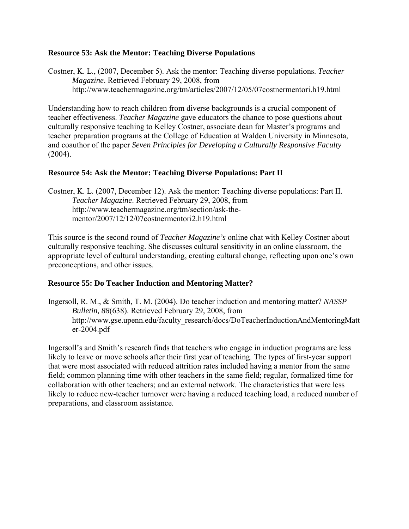#### **Resource 53: Ask the Mentor: Teaching Diverse Populations**

Costner, K. L., (2007, December 5). Ask the mentor: Teaching diverse populations. *Teacher Magazine*. Retrieved February 29, 2008, from http://www.teachermagazine.org/tm/articles/2007/12/05/07costnermentori.h19.html

Understanding how to reach children from diverse backgrounds is a crucial component of teacher effectiveness. *Teacher Magazine* gave educators the chance to pose questions about culturally responsive teaching to Kelley Costner, associate dean for Master's programs and teacher preparation programs at the College of Education at Walden University in Minnesota, and coauthor of the paper *Seven Principles for Developing a Culturally Responsive Faculty*  (2004).

#### **Resource 54: Ask the Mentor: Teaching Diverse Populations: Part II**

Costner, K. L. (2007, December 12). Ask the mentor: Teaching diverse populations: Part II. *Teacher Magazine*. Retrieved February 29, 2008, from http://www.teachermagazine.org/tm/section/ask-thementor/2007/12/12/07costnermentori2.h19.html

This source is the second round of *Teacher Magazine's* online chat with Kelley Costner about culturally responsive teaching. She discusses cultural sensitivity in an online classroom, the appropriate level of cultural understanding, creating cultural change, reflecting upon one's own preconceptions, and other issues.

#### **Resource 55: Do Teacher Induction and Mentoring Matter?**

Ingersoll, R. M., & Smith, T. M. (2004). Do teacher induction and mentoring matter? *NASSP Bulletin, 88*(638). Retrieved February 29, 2008, from http://www.gse.upenn.edu/faculty\_research/docs/DoTeacherInductionAndMentoringMatt er-2004.pdf

Ingersoll's and Smith's research finds that teachers who engage in induction programs are less likely to leave or move schools after their first year of teaching. The types of first-year support that were most associated with reduced attrition rates included having a mentor from the same field; common planning time with other teachers in the same field; regular, formalized time for collaboration with other teachers; and an external network. The characteristics that were less likely to reduce new-teacher turnover were having a reduced teaching load, a reduced number of preparations, and classroom assistance.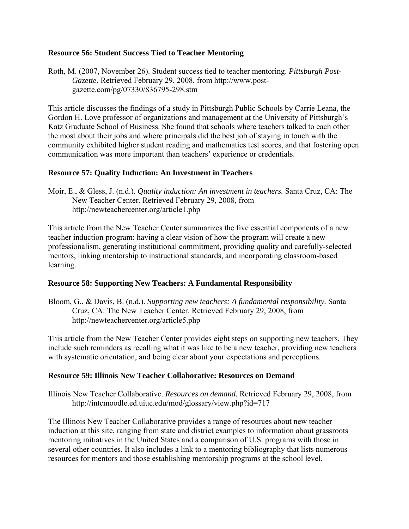#### **Resource 56: Student Success Tied to Teacher Mentoring**

Roth, M. (2007, November 26). Student success tied to teacher mentoring. *Pittsburgh Post-Gazette.* Retrieved February 29, 2008, from [http://www.post](http://www.post-gazette.com/pg/07330/836795-298.stm)[gazette.com/pg/07330/836795-298.stm](http://www.post-gazette.com/pg/07330/836795-298.stm) 

This article discusses the findings of a study in Pittsburgh Public Schools by Carrie Leana, the Gordon H. Love professor of organizations and management at the University of Pittsburgh's Katz Graduate School of Business. She found that schools where teachers talked to each other the most about their jobs and where principals did the best job of staying in touch with the community exhibited higher student reading and mathematics test scores, and that fostering open communication was more important than teachers' experience or credentials.

#### **Resource 57: Quality Induction: An Investment in Teachers**

Moir, E., & Gless, J. (n.d.). *Quality induction: An investment in teachers.* Santa Cruz, CA: The New Teacher Center. Retrieved February 29, 2008, from <http://newteachercenter.org/article1.php>

This article from the New Teacher Center summarizes the five essential components of a new teacher induction program: having a clear vision of how the program will create a new professionalism, generating institutional commitment, providing quality and carefully-selected mentors, linking mentorship to instructional standards, and incorporating classroom-based learning.

#### **Resource 58: Supporting New Teachers: A Fundamental Responsibility**

Bloom, G., & Davis, B. (n.d.). *Supporting new teachers: A fundamental responsibility.* Santa Cruz, CA: The New Teacher Center. Retrieved February 29, 2008, from <http://newteachercenter.org/article5.php>

This article from the New Teacher Center provides eight steps on supporting new teachers. They include such reminders as recalling what it was like to be a new teacher, providing new teachers with systematic orientation, and being clear about your expectations and perceptions.

#### **Resource 59: Illinois New Teacher Collaborative: Resources on Demand**

Illinois New Teacher Collaborative. *Resources on demand.* Retrieved February 29, 2008, from http://intcmoodle.ed.uiuc.edu/mod/glossary/view.php?id=717

The Illinois New Teacher Collaborative provides a range of resources about new teacher induction at this site, ranging from state and district examples to information about grassroots mentoring initiatives in the United States and a comparison of U.S. programs with those in several other countries. It also includes a link to a mentoring bibliography that lists numerous resources for mentors and those establishing mentorship programs at the school level.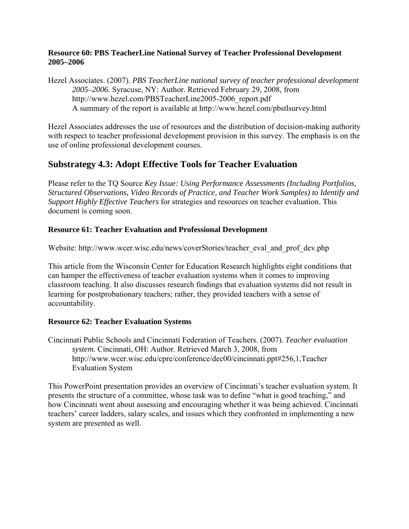#### **Resource 60: PBS TeacherLine National Survey of Teacher Professional Development 2005–2006**

Hezel Associates. (2007). *PBS TeacherLine national survey of teacher professional development 2005–2006.* Syracuse, NY: Author. Retrieved February 29, 2008, from [http://www.hezel.com/PBSTeacherLine2005-2006\\_report.pdf](http://www.hezel.com/PBSTeacherLine2005-2006_report.pdf)  A summary of the report is available at <http://www.hezel.com/pbstlsurvey.html>

Hezel Associates addresses the use of resources and the distribution of decision-making authority with respect to teacher professional development provision in this survey. The emphasis is on the use of online professional development courses.

### **Substrategy 4.3: Adopt Effective Tools for Teacher Evaluation**

Please refer to the TQ Source *Key Issue: Using Performance Assessments (Including Portfolios, Structured Observations, Video Records of Practice, and Teacher Work Samples) to Identify and Support Highly Effective Teachers* for strategies and resources on teacher evaluation. This document is coming soon.

#### **Resource 61: Teacher Evaluation and Professional Development**

Website: [http://www.wcer.wisc.edu/news/coverStories/teacher\\_eval\\_and\\_prof\\_dev.php](http://www.wcer.wisc.edu/news/coverStories/teacher_eval_and_prof_dev.php)

This article from the Wisconsin Center for Education Research highlights eight conditions that can hamper the effectiveness of teacher evaluation systems when it comes to improving classroom teaching. It also discusses research findings that evaluation systems did not result in learning for postprobationary teachers; rather, they provided teachers with a sense of accountability.

### **Resource 62: Teacher Evaluation Systems**

Cincinnati Public Schools and Cincinnati Federation of Teachers. (2007). *Teacher evaluation system.* Cincinnati, OH: Author. Retrieved March 3, 2008, from http://www.wcer.wisc.edu/cpre/conference/dec00/cincinnati.ppt#256,1,Teacher Evaluation System

This PowerPoint presentation provides an overview of Cincinnati's teacher evaluation system. It presents the structure of a committee, whose task was to define "what is good teaching," and how Cincinnati went about assessing and encouraging whether it was being achieved. Cincinnati teachers' career ladders, salary scales, and issues which they confronted in implementing a new system are presented as well.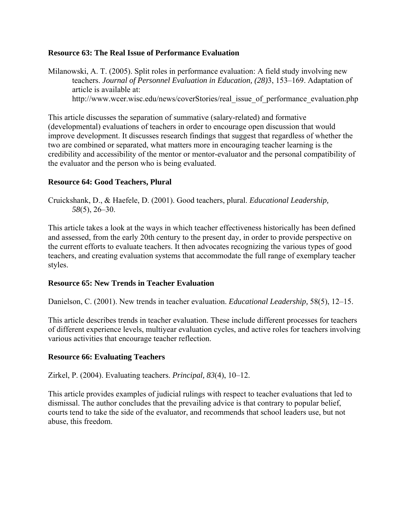#### **Resource 63: The Real Issue of Performance Evaluation**

Milanowski, A. T. (2005). Split roles in performance evaluation: A field study involving new teachers. *Journal of Personnel Evaluation in Education, (28)*3, 153–169. Adaptation of article is available at: [http://www.wcer.wisc.edu/news/coverStories/real\\_issue\\_of\\_performance\\_evaluation.php](http://www.wcer.wisc.edu/news/coverStories/real_issue_of_performance_evaluation.php) 

This article discusses the separation of summative (salary-related) and formative (developmental) evaluations of teachers in order to encourage open discussion that would improve development. It discusses research findings that suggest that regardless of whether the two are combined or separated, what matters more in encouraging teacher learning is the credibility and accessibility of the mentor or mentor-evaluator and the personal compatibility of the evaluator and the person who is being evaluated.

#### **Resource 64: Good Teachers, Plural**

Cruickshank, D., & Haefele, D. (2001). Good teachers, plural. *Educational Leadership, 58*(5), 26–30.

This article takes a look at the ways in which teacher effectiveness historically has been defined and assessed, from the early 20th century to the present day, in order to provide perspective on the current efforts to evaluate teachers. It then advocates recognizing the various types of good teachers, and creating evaluation systems that accommodate the full range of exemplary teacher styles.

#### **Resource 65: New Trends in Teacher Evaluation**

Danielson, C. (2001). New trends in teacher evaluation. *Educational Leadership,* 58(5), 12–15.

This article describes trends in teacher evaluation. These include different processes for teachers of different experience levels, multiyear evaluation cycles, and active roles for teachers involving various activities that encourage teacher reflection.

#### **Resource 66: Evaluating Teachers**

Zirkel, P. (2004). Evaluating teachers. *Principal, 83*(4), 10–12.

This article provides examples of judicial rulings with respect to teacher evaluations that led to dismissal. The author concludes that the prevailing advice is that contrary to popular belief, courts tend to take the side of the evaluator, and recommends that school leaders use, but not abuse, this freedom.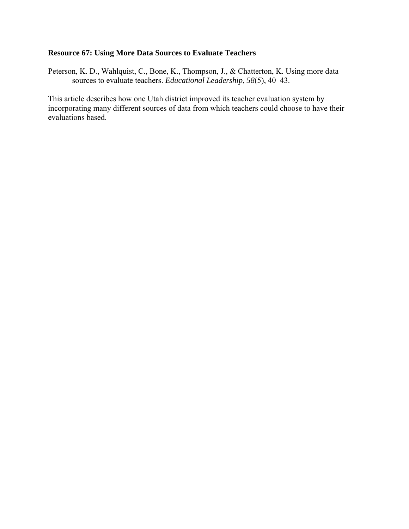#### **Resource 67: Using More Data Sources to Evaluate Teachers**

Peterson, K. D., Wahlquist, C., Bone, K., Thompson, J., & Chatterton, K. Using more data sources to evaluate teachers. *Educational Leadership*, *58*(5), 40–43.

This article describes how one Utah district improved its teacher evaluation system by incorporating many different sources of data from which teachers could choose to have their evaluations based.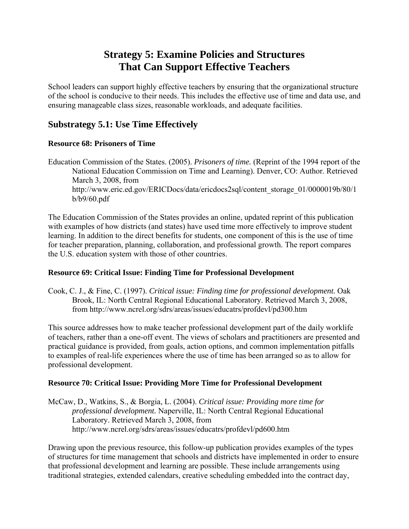# **Strategy 5: Examine Policies and Structures That Can Support Effective Teachers**

School leaders can support highly effective teachers by ensuring that the organizational structure of the school is conducive to their needs. This includes the effective use of time and data use, and ensuring manageable class sizes, reasonable workloads, and adequate facilities.

# **Substrategy 5.1: Use Time Effectively**

#### **Resource 68: Prisoners of Time**

Education Commission of the States. (2005). *Prisoners of time.* (Reprint of the 1994 report of the National Education Commission on Time and Learning). Denver, CO: Author. Retrieved March 3, 2008, from [http://www.eric.ed.gov/ERICDocs/data/ericdocs2sql/content\\_storage\\_01/0000019b/80/1](http://www.eric.ed.gov/ERICDocs/data/ericdocs2sql/content_storage_01/0000019b/80/1b/b9/60.pdf) [b/b9/60.pdf](http://www.eric.ed.gov/ERICDocs/data/ericdocs2sql/content_storage_01/0000019b/80/1b/b9/60.pdf) 

The Education Commission of the States provides an online, updated reprint of this publication with examples of how districts (and states) have used time more effectively to improve student learning. In addition to the direct benefits for students, one component of this is the use of time for teacher preparation, planning, collaboration, and professional growth. The report compares the U.S. education system with those of other countries.

#### **Resource 69: Critical Issue: Finding Time for Professional Development**

Cook, C. J., & Fine, C. (1997). *Critical issue: Finding time for professional development.* Oak Brook, IL: North Central Regional Educational Laboratory. Retrieved March 3, 2008, from http://www.ncrel.org/sdrs/areas/issues/educatrs/profdevl/pd300.htm

This source addresses how to make teacher professional development part of the daily worklife of teachers, rather than a one-off event. The views of scholars and practitioners are presented and practical guidance is provided, from goals, action options, and common implementation pitfalls to examples of real-life experiences where the use of time has been arranged so as to allow for professional development.

#### **Resource 70: Critical Issue: Providing More Time for Professional Development**

McCaw, D., Watkins, S., & Borgia, L. (2004). *Critical issue: Providing more time for professional development.* Naperville, IL: North Central Regional Educational Laboratory. Retrieved March 3, 2008, from <http://www.ncrel.org/sdrs/areas/issues/educatrs/profdevl/pd600.htm>

Drawing upon the previous resource, this follow-up publication provides examples of the types of structures for time management that schools and districts have implemented in order to ensure that professional development and learning are possible. These include arrangements using traditional strategies, extended calendars, creative scheduling embedded into the contract day,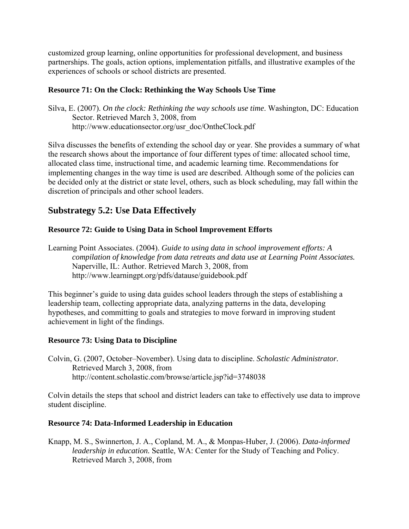customized group learning, online opportunities for professional development, and business partnerships. The goals, action options, implementation pitfalls, and illustrative examples of the experiences of schools or school districts are presented.

#### **Resource 71: On the Clock: Rethinking the Way Schools Use Time**

Silva, E. (2007). *On the clock: Rethinking the way schools use time*. Washington, DC: Education Sector. Retrieved March 3, 2008, from http://www.educationsector.org/usr\_doc/OntheClock.pdf

Silva discusses the benefits of extending the school day or year. She provides a summary of what the research shows about the importance of four different types of time: allocated school time, allocated class time, instructional time, and academic learning time. Recommendations for implementing changes in the way time is used are described. Although some of the policies can be decided only at the district or state level, others, such as block scheduling, may fall within the discretion of principals and other school leaders.

# **Substrategy 5.2: Use Data Effectively**

#### **Resource 72: Guide to Using Data in School Improvement Efforts**

Learning Point Associates. (2004). *Guide to using data in school improvement efforts: A compilation of knowledge from data retreats and data use at Learning Point Associates.* Naperville, IL: Author. Retrieved March 3, 2008, from http://www.learningpt.org/pdfs/datause/guidebook.pdf

This beginner's guide to using data guides school leaders through the steps of establishing a leadership team, collecting appropriate data, analyzing patterns in the data, developing hypotheses, and committing to goals and strategies to move forward in improving student achievement in light of the findings.

#### **Resource 73: Using Data to Discipline**

Colvin, G. (2007, October–November). Using data to discipline. *Scholastic Administrator.* Retrieved March 3, 2008, from http://content.scholastic.com/browse/article.jsp?id=3748038

Colvin details the steps that school and district leaders can take to effectively use data to improve student discipline.

#### **Resource 74: Data-Informed Leadership in Education**

Knapp, M. S., Swinnerton, J. A., Copland, M. A., & Monpas-Huber, J. (2006). *Data-informed leadership in education.* Seattle, WA: Center for the Study of Teaching and Policy. Retrieved March 3, 2008, from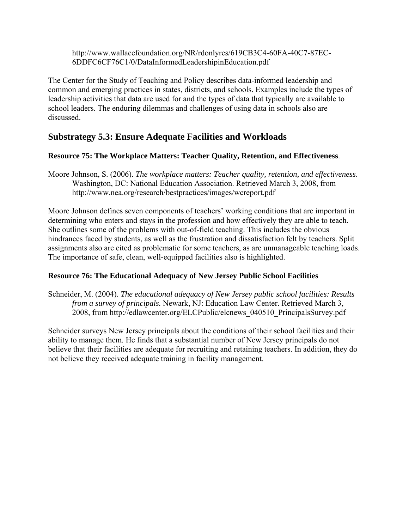[http://www.wallacefoundation.org/NR/rdonlyres/619CB3C4-60FA-40C7-87EC-](http://www.wallacefoundation.org/NR/rdonlyres/619CB3C4-60FA-40C7-87EC-6DDFC6CF76C1/0/DataInformedLeadershipinEducation.pdf)[6DDFC6CF76C1/0/DataInformedLeadershipinEducation.pdf](http://www.wallacefoundation.org/NR/rdonlyres/619CB3C4-60FA-40C7-87EC-6DDFC6CF76C1/0/DataInformedLeadershipinEducation.pdf) 

The Center for the Study of Teaching and Policy describes data-informed leadership and common and emerging practices in states, districts, and schools. Examples include the types of leadership activities that data are used for and the types of data that typically are available to school leaders. The enduring dilemmas and challenges of using data in schools also are discussed.

# **Substrategy 5.3: Ensure Adequate Facilities and Workloads**

#### **Resource 75: The Workplace Matters: Teacher Quality, Retention, and Effectiveness**.

Moore Johnson, S. (2006). *The workplace matters: Teacher quality, retention, and effectiveness*. Washington, DC: National Education Association. Retrieved March 3, 2008, from <http://www.nea.org/research/bestpractices/images/wcreport.pdf>

Moore Johnson defines seven components of teachers' working conditions that are important in determining who enters and stays in the profession and how effectively they are able to teach. She outlines some of the problems with out-of-field teaching. This includes the obvious hindrances faced by students, as well as the frustration and dissatisfaction felt by teachers. Split assignments also are cited as problematic for some teachers, as are unmanageable teaching loads. The importance of safe, clean, well-equipped facilities also is highlighted.

#### **Resource 76: The Educational Adequacy of New Jersey Public School Facilities**

Schneider, M. (2004). *The educational adequacy of New Jersey public school facilities: Results from a survey of principals.* Newark, NJ: Education Law Center. Retrieved March 3, 2008, from [http://edlawcenter.org/ELCPublic/elcnews\\_040510\\_PrincipalsSurvey.pdf](http://edlawcenter.org/ELCPublic/elcnews_040510_PrincipalsSurvey.pdf) 

Schneider surveys New Jersey principals about the conditions of their school facilities and their ability to manage them. He finds that a substantial number of New Jersey principals do not believe that their facilities are adequate for recruiting and retaining teachers. In addition, they do not believe they received adequate training in facility management.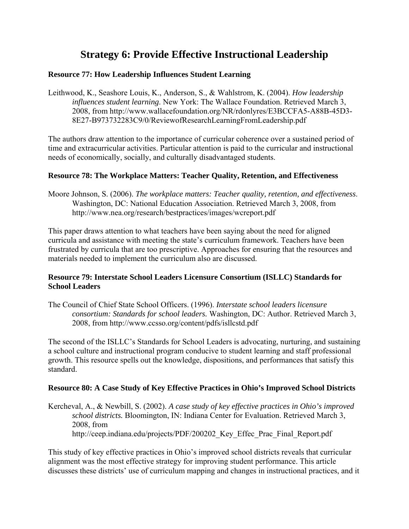# **Strategy 6: Provide Effective Instructional Leadership**

#### **Resource 77: How Leadership Influences Student Learning**

Leithwood, K., Seashore Louis, K., Anderson, S., & Wahlstrom, K. (2004). *How leadership influences student learning*. New York: The Wallace Foundation. Retrieved March 3, 2008, from [http://www.wallacefoundation.org/NR/rdonlyres/E3BCCFA5-A88B-45D3-](http://www.wallacefoundation.org/NR/rdonlyres/E3BCCFA5-A88B-45D3-8E27-B973732283C9/0/ReviewofResearchLearningFromLeadership.pdf) [8E27-B973732283C9/0/ReviewofResearchLearningFromLeadership.pdf](http://www.wallacefoundation.org/NR/rdonlyres/E3BCCFA5-A88B-45D3-8E27-B973732283C9/0/ReviewofResearchLearningFromLeadership.pdf) 

The authors draw attention to the importance of curricular coherence over a sustained period of time and extracurricular activities. Particular attention is paid to the curricular and instructional needs of economically, socially, and culturally disadvantaged students.

#### **Resource 78: The Workplace Matters: Teacher Quality, Retention, and Effectiveness**

Moore Johnson, S. (2006). *The workplace matters: Teacher quality, retention, and effectiveness*. Washington, DC: National Education Association. Retrieved March 3, 2008, from <http://www.nea.org/research/bestpractices/images/wcreport.pdf>

This paper draws attention to what teachers have been saying about the need for aligned curricula and assistance with meeting the state's curriculum framework. Teachers have been frustrated by curricula that are too prescriptive. Approaches for ensuring that the resources and materials needed to implement the curriculum also are discussed.

#### **Resource 79: Interstate School Leaders Licensure Consortium (ISLLC) Standards for School Leaders**

The Council of Chief State School Officers. (1996). *Interstate school leaders licensure consortium: Standards for school leaders.* Washington, DC: Author. Retrieved March 3, 2008, from<http://www.ccsso.org/content/pdfs/isllcstd.pdf>

The second of the ISLLC's Standards for School Leaders is advocating, nurturing, and sustaining a school culture and instructional program conducive to student learning and staff professional growth. This resource spells out the knowledge, dispositions, and performances that satisfy this standard.

#### **Resource 80: A Case Study of Key Effective Practices in Ohio's Improved School Districts**

Kercheval, A., & Newbill, S. (2002). *A case study of key effective practices in Ohio's improved school districts.* Bloomington, IN: Indiana Center for Evaluation. Retrieved March 3, 2008, from http://ceep.indiana.edu/projects/PDF/200202 Key Effec Prac Final Report.pdf

This study of key effective practices in Ohio's improved school districts reveals that curricular alignment was the most effective strategy for improving student performance. This article discusses these districts' use of curriculum mapping and changes in instructional practices, and it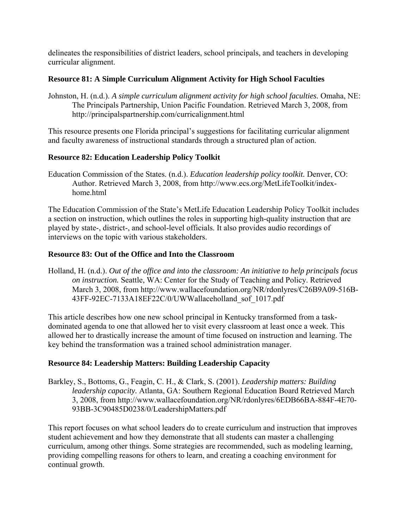delineates the responsibilities of district leaders, school principals, and teachers in developing curricular alignment.

#### **Resource 81: A Simple Curriculum Alignment Activity for High School Faculties**

Johnston, H. (n.d.). *A simple curriculum alignment activity for high school faculties.* Omaha, NE: The Principals Partnership, Union Pacific Foundation. Retrieved March 3, 2008, from <http://principalspartnership.com/curricalignment.html>

This resource presents one Florida principal's suggestions for facilitating curricular alignment and faculty awareness of instructional standards through a structured plan of action.

#### **Resource 82: Education Leadership Policy Toolkit**

Education Commission of the States. (n.d.). *Education leadership policy toolkit.* Denver, CO: Author. Retrieved March 3, 2008, from [http://www.ecs.org/MetLifeToolkit/index](http://www.ecs.org/MetLifeToolkit/index-home.html)home html

The Education Commission of the State's MetLife Education Leadership Policy Toolkit includes a section on instruction, which outlines the roles in supporting high-quality instruction that are played by state-, district-, and school-level officials. It also provides audio recordings of interviews on the topic with various stakeholders.

#### **Resource 83: Out of the Office and Into the Classroom**

Holland, H. (n.d.). *Out of the office and into the classroom: An initiative to help principals focus on instruction.* Seattle, WA: Center for the Study of Teaching and Policy. Retrieved March 3, 2008, from [http://www.wallacefoundation.org/NR/rdonlyres/C26B9A09-516B-](http://www.wallacefoundation.org/NR/rdonlyres/C26B9A09-516B-43FF-92EC-7133A18EF22C/0/UWWallaceholland_sof_1017.pdf)[43FF-92EC-7133A18EF22C/0/UWWallaceholland\\_sof\\_1017.pdf](http://www.wallacefoundation.org/NR/rdonlyres/C26B9A09-516B-43FF-92EC-7133A18EF22C/0/UWWallaceholland_sof_1017.pdf) 

This article describes how one new school principal in Kentucky transformed from a taskdominated agenda to one that allowed her to visit every classroom at least once a week. This allowed her to drastically increase the amount of time focused on instruction and learning. The key behind the transformation was a trained school administration manager.

### **Resource 84: Leadership Matters: Building Leadership Capacity**

Barkley, S., Bottoms, G., Feagin, C. H., & Clark, S. (2001). *Leadership matters: Building leadership capacity.* Atlanta, GA: Southern Regional Education Board Retrieved March 3, 2008, from http://www.wallacefoundation.org/NR/rdonlyres/6EDB66BA-884F-4E70- 93BB-3C90485D0238/0/LeadershipMatters.pdf

This report focuses on what school leaders do to create curriculum and instruction that improves student achievement and how they demonstrate that all students can master a challenging curriculum, among other things. Some strategies are recommended, such as modeling learning, providing compelling reasons for others to learn, and creating a coaching environment for continual growth.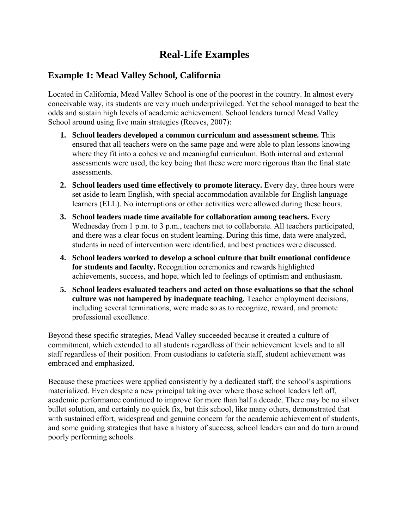# **Real-Life Examples**

## **Example 1: Mead Valley School, California**

Located in California, Mead Valley School is one of the poorest in the country. In almost every conceivable way, its students are very much underprivileged. Yet the school managed to beat the odds and sustain high levels of academic achievement. School leaders turned Mead Valley School around using five main strategies (Reeves, 2007):

- **1. School leaders developed a common curriculum and assessment scheme.** This ensured that all teachers were on the same page and were able to plan lessons knowing where they fit into a cohesive and meaningful curriculum. Both internal and external assessments were used, the key being that these were more rigorous than the final state assessments.
- **2. School leaders used time effectively to promote literacy.** Every day, three hours were set aside to learn English, with special accommodation available for English language learners (ELL). No interruptions or other activities were allowed during these hours.
- **3. School leaders made time available for collaboration among teachers.** Every Wednesday from 1 p.m. to 3 p.m., teachers met to collaborate. All teachers participated, and there was a clear focus on student learning. During this time, data were analyzed, students in need of intervention were identified, and best practices were discussed.
- **4. School leaders worked to develop a school culture that built emotional confidence for students and faculty.** Recognition ceremonies and rewards highlighted achievements, success, and hope, which led to feelings of optimism and enthusiasm.
- **5. School leaders evaluated teachers and acted on those evaluations so that the school culture was not hampered by inadequate teaching.** Teacher employment decisions, including several terminations, were made so as to recognize, reward, and promote professional excellence.

Beyond these specific strategies, Mead Valley succeeded because it created a culture of commitment, which extended to all students regardless of their achievement levels and to all staff regardless of their position. From custodians to cafeteria staff, student achievement was embraced and emphasized.

Because these practices were applied consistently by a dedicated staff, the school's aspirations materialized. Even despite a new principal taking over where those school leaders left off, academic performance continued to improve for more than half a decade. There may be no silver bullet solution, and certainly no quick fix, but this school, like many others, demonstrated that with sustained effort, widespread and genuine concern for the academic achievement of students, and some guiding strategies that have a history of success, school leaders can and do turn around poorly performing schools.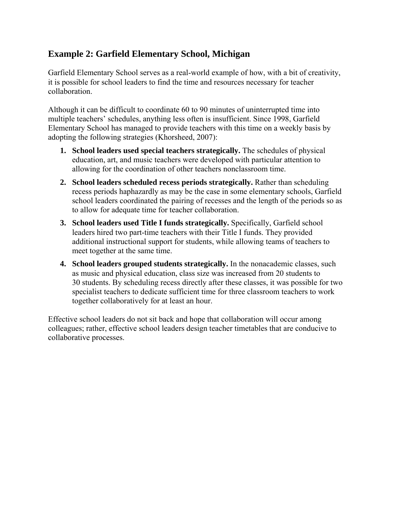# **Example 2: Garfield Elementary School, Michigan**

Garfield Elementary School serves as a real-world example of how, with a bit of creativity, it is possible for school leaders to find the time and resources necessary for teacher collaboration.

Although it can be difficult to coordinate 60 to 90 minutes of uninterrupted time into multiple teachers' schedules, anything less often is insufficient. Since 1998, Garfield Elementary School has managed to provide teachers with this time on a weekly basis by adopting the following strategies (Khorsheed, 2007):

- **1. School leaders used special teachers strategically.** The schedules of physical education, art, and music teachers were developed with particular attention to allowing for the coordination of other teachers nonclassroom time.
- **2. School leaders scheduled recess periods strategically.** Rather than scheduling recess periods haphazardly as may be the case in some elementary schools, Garfield school leaders coordinated the pairing of recesses and the length of the periods so as to allow for adequate time for teacher collaboration.
- **3. School leaders used Title I funds strategically.** Specifically, Garfield school leaders hired two part-time teachers with their Title I funds. They provided additional instructional support for students, while allowing teams of teachers to meet together at the same time.
- **4. School leaders grouped students strategically.** In the nonacademic classes, such as music and physical education, class size was increased from 20 students to 30 students. By scheduling recess directly after these classes, it was possible for two specialist teachers to dedicate sufficient time for three classroom teachers to work together collaboratively for at least an hour.

Effective school leaders do not sit back and hope that collaboration will occur among colleagues; rather, effective school leaders design teacher timetables that are conducive to collaborative processes.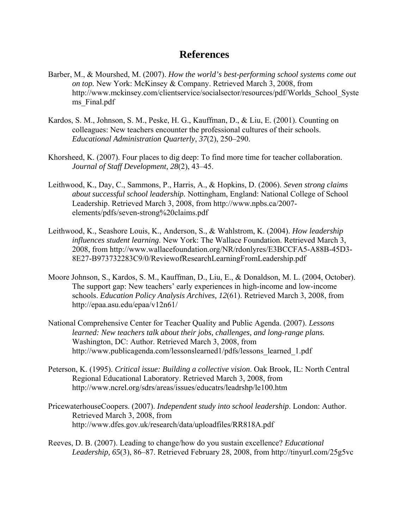## **References**

- Barber, M., & Mourshed, M. (2007). *How the world's best-performing school systems come out on top.* New York: McKinsey & Company. Retrieved March 3, 2008, from [http://www.mckinsey.com/clientservice/socialsector/resources/pdf/Worlds\\_School\\_Syste](http://www.mckinsey.com/clientservice/socialsector/resources/pdf/Worlds_School_Systems_Final.pdf) ms Final.pdf
- Kardos, S. M., Johnson, S. M., Peske, H. G., Kauffman, D., & Liu, E. (2001). Counting on colleagues: New teachers encounter the professional cultures of their schools. *Educational Administration Quarterly*, *37*(2), 250–290.
- Khorsheed, K. (2007). Four places to dig deep: To find more time for teacher collaboration. *Journal of Staff Development, 28*(2), 43–45.
- Leithwood, K., Day, C., Sammons, P., Harris, A., & Hopkins, D. (2006). *Seven strong claims about successful school leadership.* Nottingham, England: National College of School Leadership. Retrieved March 3, 2008, from [http://www.npbs.ca/2007](http://www.npbs.ca/2007-elements/pdfs/seven-strong%20claims.pdf) [elements/pdfs/seven-strong%20claims.pdf](http://www.npbs.ca/2007-elements/pdfs/seven-strong%20claims.pdf)
- Leithwood, K., Seashore Louis, K., Anderson, S., & Wahlstrom, K. (2004). *How leadership influences student learning*. New York: The Wallace Foundation. Retrieved March 3, 2008, from [http://www.wallacefoundation.org/NR/rdonlyres/E3BCCFA5-A88B-45D3-](http://www.wallacefoundation.org/NR/rdonlyres/E3BCCFA5-A88B-45D3-8E27-B973732283C9/0/ReviewofResearchLearningFromLeadership.pdf) [8E27-B973732283C9/0/ReviewofResearchLearningFromLeadership.pdf](http://www.wallacefoundation.org/NR/rdonlyres/E3BCCFA5-A88B-45D3-8E27-B973732283C9/0/ReviewofResearchLearningFromLeadership.pdf)
- Moore Johnson, S., Kardos, S. M., Kauffman, D., Liu, E., & Donaldson, M. L. (2004, October). The support gap: New teachers' early experiences in high-income and low-income schools. *Education Policy Analysis Archives, 12*(61). Retrieved March 3, 2008, from http://epaa.asu.edu/epaa/v12n61/
- National Comprehensive Center for Teacher Quality and Public Agenda. (2007). *Lessons learned: New teachers talk about their jobs, challenges, and long-range plans.* Washington, DC: Author. Retrieved March 3, 2008, from [http://www.publicagenda.com/lessonslearned1/pdfs/lessons\\_learned\\_1.pdf](http://www.publicagenda.com/lessonslearned1/pdfs/lessons_learned_1.pdf)
- Peterson, K. (1995). *Critical issue: Building a collective vision*. Oak Brook, IL: North Central Regional Educational Laboratory. Retrieved March 3, 2008, from <http://www.ncrel.org/sdrs/areas/issues/educatrs/leadrshp/le100.htm>
- PricewaterhouseCoopers. (2007). *Independent study into school leadership*. London: Author. Retrieved March 3, 2008, from <http://www.dfes.gov.uk/research/data/uploadfiles/RR818A.pdf>
- Reeves, D. B. (2007). Leading to change/how do you sustain excellence? *Educational Leadership, 65*(3), 86–87. Retrieved February 28, 2008, from http://tinyurl.com/25g5vc